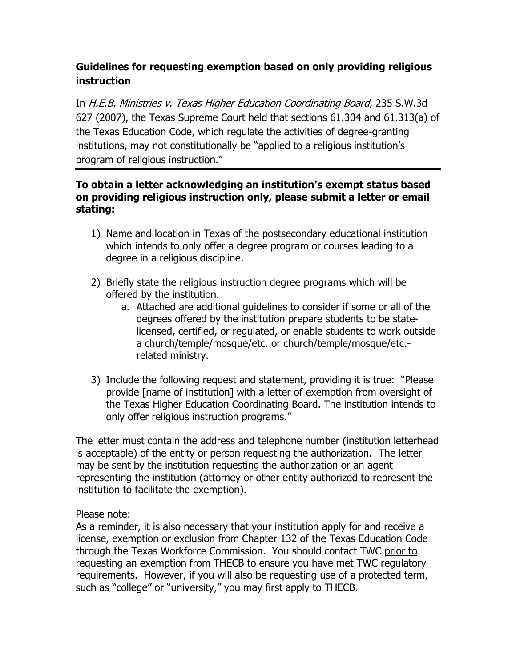## **Guidelines for requesting exemption based on only providing religious instruction**

In H.E.B. Ministries v. Texas Higher Education Coordinating Board, 235 S.W.3d 627 (2007), the Texas Supreme Court held that sections 61.304 and 61.313(a) of the Texas Education Code, which regulate the activities of degree-granting institutions, may not constitutionally be "applied to a religious institution's program of religious instruction."

## **To obtain a letter acknowledging an institution's exempt status based on providing religious instruction only, please submit a letter or email stating:**

- 1) Name and location in Texas of the postsecondary educational institution which intends to only offer a degree program or courses leading to a degree in a religious discipline.
- 2) Briefly state the religious instruction degree programs which will be offered by the institution.
	- a. Attached are additional guidelines to consider if some or all of the degrees offered by the institution prepare students to be statelicensed, certified, or regulated, or enable students to work outside a church/temple/mosque/etc. or church/temple/mosque/etc. related ministry.
- 3) Include the following request and statement, providing it is true: "Please provide [name of institution] with a letter of exemption from oversight of the Texas Higher Education Coordinating Board. The institution intends to only offer religious instruction programs."

The letter must contain the address and telephone number (institution letterhead is acceptable) of the entity or person requesting the authorization. The letter may be sent by the institution requesting the authorization or an agent representing the institution (attorney or other entity authorized to represent the institution to facilitate the exemption).

## Please note:

As a reminder, it is also necessary that your institution apply for and receive a license, exemption or exclusion from Chapter 132 of the Texas Education Code through the Texas Workforce Commission. You should contact TWC prior to requesting an exemption from THECB to ensure you have met TWC regulatory requirements. However, if you will also be requesting use of a protected term, such as "college" or "university," you may first apply to THECB.